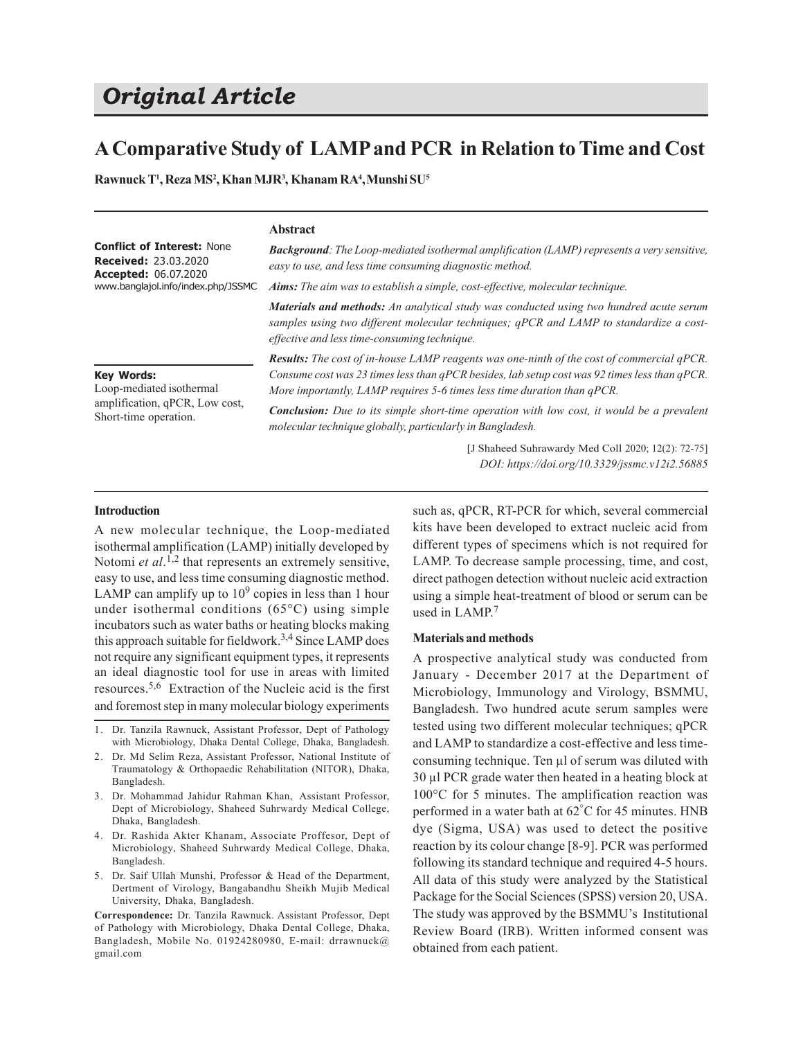# *Original Article*

## **A Comparative Study of LAMP and PCR in Relation to Time and Cost**

**Rawnuck T<sup>1</sup> , Reza MS<sup>2</sup> , Khan MJR<sup>3</sup> , Khanam RA<sup>4</sup> ,Munshi SU<sup>5</sup>**

### **Abstract**

| <b>Conflict of Interest: None</b><br><b>Received: 23.03.2020</b><br><b>Accepted: 06.07.2020</b><br>www.banglajol.info/index.php/JSSMC | <b>Background:</b> The Loop-mediated isothermal amplification (LAMP) represents a very sensitive,<br>easy to use, and less time consuming diagnostic method.<br>Aims: The aim was to establish a simple, cost-effective, molecular technique.                                |  |
|---------------------------------------------------------------------------------------------------------------------------------------|------------------------------------------------------------------------------------------------------------------------------------------------------------------------------------------------------------------------------------------------------------------------------|--|
|                                                                                                                                       | Materials and methods: An analytical study was conducted using two hundred acute serum<br>samples using two different molecular techniques; qPCR and LAMP to standardize a cost-<br>effective and less time-consuming technique.                                             |  |
| <b>Key Words:</b><br>Loop-mediated isothermal                                                                                         | <b>Results:</b> The cost of in-house LAMP reagents was one-ninth of the cost of commercial qPCR.<br>Consume cost was 23 times less than qPCR besides, lab setup cost was 92 times less than qPCR.<br>More importantly, LAMP requires 5-6 times less time duration than qPCR. |  |

*Conclusion: Due to its simple short-time operation with low cost, it would be a prevalent molecular technique globally, particularly in Bangladesh.* amplification, qPCR, Low cost, Short-time operation.

> [J Shaheed Suhrawardy Med Coll 2020; 12(2): 72-75] *DOI: https://doi.org/10.3329/jssmc.v12i2.56885*

#### **Introduction**

A new molecular technique, the Loop-mediated isothermal amplification (LAMP) initially developed by Notomi *et al*.<sup>1,2</sup> that represents an extremely sensitive, easy to use, and less time consuming diagnostic method. LAMP can amplify up to  $10^9$  copies in less than 1 hour under isothermal conditions (65°C) using simple incubators such as water baths or heating blocks making this approach suitable for fieldwork.<sup>3,4</sup> Since LAMP does not require any significant equipment types, it represents an ideal diagnostic tool for use in areas with limited resources.5,6 Extraction of the Nucleic acid is the first and foremost step in many molecular biology experiments

- 1. Dr. Tanzila Rawnuck, Assistant Professor, Dept of Pathology with Microbiology, Dhaka Dental College, Dhaka, Bangladesh.
- 2. Dr. Md Selim Reza, Assistant Professor, National Institute of Traumatology & Orthopaedic Rehabilitation (NITOR), Dhaka, Bangladesh.
- 3. Dr. Mohammad Jahidur Rahman Khan, Assistant Professor, Dept of Microbiology, Shaheed Suhrwardy Medical College, Dhaka, Bangladesh.
- 4. Dr. Rashida Akter Khanam, Associate Proffesor, Dept of Microbiology, Shaheed Suhrwardy Medical College, Dhaka, Bangladesh.
- 5. Dr. Saif Ullah Munshi, Professor & Head of the Department, Dertment of Virology, Bangabandhu Sheikh Mujib Medical University, Dhaka, Bangladesh.

**Correspondence:** Dr. Tanzila Rawnuck. Assistant Professor, Dept of Pathology with Microbiology, Dhaka Dental College, Dhaka, Bangladesh, Mobile No. 01924280980, E-mail: drrawnuck@ gmail.com

such as, qPCR, RT-PCR for which, several commercial kits have been developed to extract nucleic acid from different types of specimens which is not required for LAMP. To decrease sample processing, time, and cost, direct pathogen detection without nucleic acid extraction using a simple heat-treatment of blood or serum can be used in LAMP. 7

#### **Materials and methods**

A prospective analytical study was conducted from January - December 2017 at the Department of Microbiology, Immunology and Virology, BSMMU, Bangladesh. Two hundred acute serum samples were tested using two different molecular techniques; qPCR and LAMP to standardize a cost-effective and less timeconsuming technique. Ten µl of serum was diluted with 30 µl PCR grade water then heated in a heating block at 100°C for 5 minutes. The amplification reaction was performed in a water bath at 62°C for 45 minutes. HNB dye (Sigma, USA) was used to detect the positive reaction by its colour change [8-9]. PCR was performed following its standard technique and required 4-5 hours. All data of this study were analyzed by the Statistical Package for the Social Sciences (SPSS) version 20, USA. The study was approved by the BSMMU's Institutional Review Board (IRB). Written informed consent was obtained from each patient.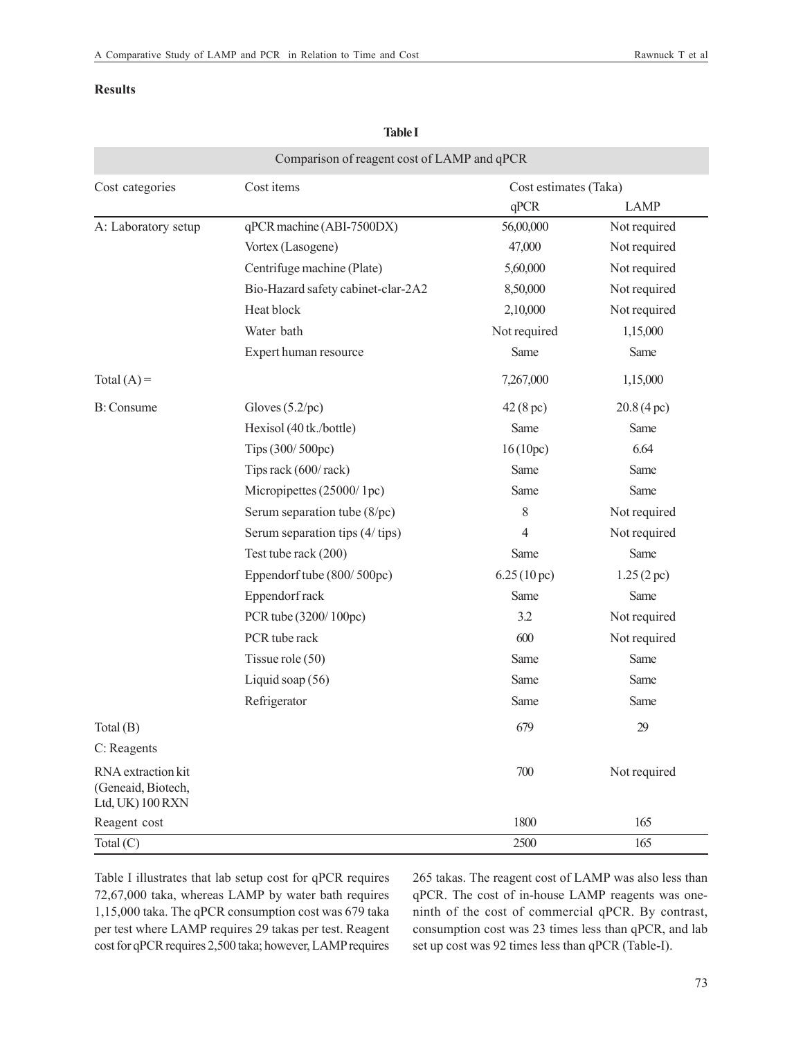## **Results**

|                                                              | Comparison of reagent cost of LAMP and qPCR |                       |              |
|--------------------------------------------------------------|---------------------------------------------|-----------------------|--------------|
| Cost categories                                              | Cost items                                  | Cost estimates (Taka) |              |
|                                                              |                                             | qPCR                  | <b>LAMP</b>  |
| A: Laboratory setup                                          | qPCR machine (ABI-7500DX)                   | 56,00,000             | Not required |
|                                                              | Vortex (Lasogene)                           | 47,000                | Not required |
|                                                              | Centrifuge machine (Plate)                  | 5,60,000              | Not required |
|                                                              | Bio-Hazard safety cabinet-clar-2A2          | 8,50,000              | Not required |
|                                                              | Heat block                                  | 2,10,000              | Not required |
|                                                              | Water bath                                  | Not required          | 1,15,000     |
|                                                              | Expert human resource                       | Same                  | Same         |
| Total $(A)$ =                                                |                                             | 7,267,000             | 1,15,000     |
| B: Consume                                                   | Gloves $(5.2/pc)$                           | 42(8 pc)              | 20.8(4 pc)   |
|                                                              | Hexisol (40 tk./bottle)                     | Same                  | Same         |
|                                                              | Tips (300/500pc)                            | 16(10pc)              | 6.64         |
|                                                              | Tips rack (600/rack)                        | Same                  | Same         |
|                                                              | Micropipettes (25000/1pc)                   | Same                  | Same         |
|                                                              | Serum separation tube (8/pc)                | $8\,$                 | Not required |
|                                                              | Serum separation tips (4/tips)              | 4                     | Not required |
|                                                              | Test tube rack (200)                        | Same                  | Same         |
|                                                              | Eppendorf tube (800/500pc)                  | 6.25(10 pc)           | 1.25(2 pc)   |
|                                                              | Eppendorf rack                              | Same                  | Same         |
|                                                              | PCR tube (3200/100pc)                       | 3.2                   | Not required |
|                                                              | PCR tube rack                               | 600                   | Not required |
|                                                              | Tissue role $(50)$                          | Same                  | Same         |
|                                                              | Liquid soap (56)                            | Same                  | Same         |
|                                                              | Refrigerator                                | Same                  | Same         |
| Total $(B)$                                                  |                                             | 679                   | 29           |
| C: Reagents                                                  |                                             |                       |              |
| RNA extraction kit<br>(Geneaid, Biotech,<br>Ltd, UK) 100 RXN |                                             | 700                   | Not required |
| Reagent cost                                                 |                                             | 1800                  | 165          |
| Total $(C)$                                                  |                                             | 2500                  | 165          |

**Table I**

Table I illustrates that lab setup cost for qPCR requires 72,67,000 taka, whereas LAMP by water bath requires 1,15,000 taka. The qPCR consumption cost was 679 taka per test where LAMP requires 29 takas per test. Reagent cost for qPCR requires 2,500 taka; however, LAMP requires 265 takas. The reagent cost of LAMP was also less than qPCR. The cost of in-house LAMP reagents was oneninth of the cost of commercial qPCR. By contrast, consumption cost was 23 times less than qPCR, and lab set up cost was 92 times less than qPCR (Table-I).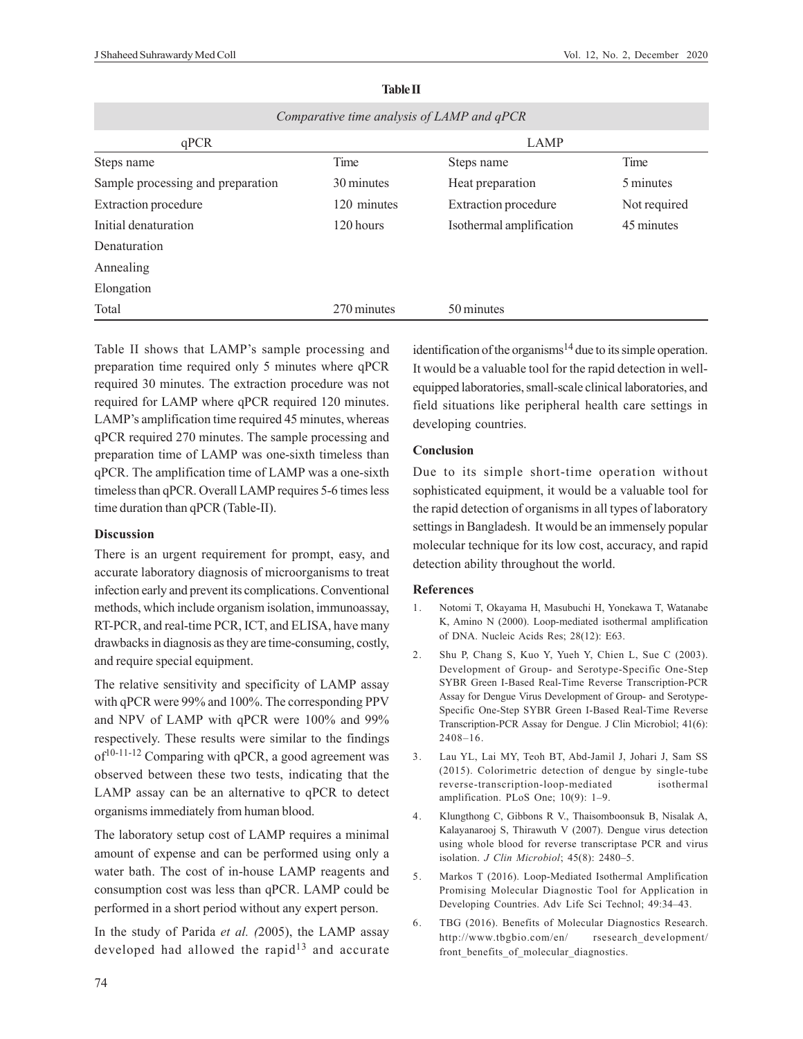| Comparative time analysis of LAMP and qPCR |             |                             |              |  |  |  |  |
|--------------------------------------------|-------------|-----------------------------|--------------|--|--|--|--|
| qPCR                                       | <b>LAMP</b> |                             |              |  |  |  |  |
| Steps name                                 | Time        | Steps name                  | Time         |  |  |  |  |
| Sample processing and preparation          | 30 minutes  | Heat preparation            | 5 minutes    |  |  |  |  |
| <b>Extraction</b> procedure                | 120 minutes | <b>Extraction</b> procedure | Not required |  |  |  |  |
| Initial denaturation                       | 120 hours   | Isothermal amplification    | 45 minutes   |  |  |  |  |
| Denaturation                               |             |                             |              |  |  |  |  |
| Annealing                                  |             |                             |              |  |  |  |  |
| Elongation                                 |             |                             |              |  |  |  |  |
| Total                                      | 270 minutes | 50 minutes                  |              |  |  |  |  |

#### **Table II**

Table II shows that LAMP's sample processing and preparation time required only 5 minutes where qPCR required 30 minutes. The extraction procedure was not required for LAMP where qPCR required 120 minutes. LAMP's amplification time required 45 minutes, whereas qPCR required 270 minutes. The sample processing and preparation time of LAMP was one-sixth timeless than qPCR. The amplification time of LAMP was a one-sixth timeless than qPCR. Overall LAMP requires 5-6 times less time duration than qPCR (Table-II).

### **Discussion**

There is an urgent requirement for prompt, easy, and accurate laboratory diagnosis of microorganisms to treat infection early and prevent its complications. Conventional methods, which include organism isolation, immunoassay, RT-PCR, and real-time PCR, ICT, and ELISA, have many drawbacks in diagnosis as they are time-consuming, costly, and require special equipment.

The relative sensitivity and specificity of LAMP assay with qPCR were 99% and 100%. The corresponding PPV and NPV of LAMP with qPCR were 100% and 99% respectively. These results were similar to the findings  $of<sup>10-11-12</sup>$  Comparing with qPCR, a good agreement was observed between these two tests, indicating that the LAMP assay can be an alternative to qPCR to detect organisms immediately from human blood.

The laboratory setup cost of LAMP requires a minimal amount of expense and can be performed using only a water bath. The cost of in-house LAMP reagents and consumption cost was less than qPCR. LAMP could be performed in a short period without any expert person.

In the study of Parida *et al. (*2005), the LAMP assay developed had allowed the rapid $13$  and accurate identification of the organisms<sup>14</sup> due to its simple operation. It would be a valuable tool for the rapid detection in wellequipped laboratories, small-scale clinical laboratories, and field situations like peripheral health care settings in developing countries.

## **Conclusion**

Due to its simple short-time operation without sophisticated equipment, it would be a valuable tool for the rapid detection of organisms in all types of laboratory settings in Bangladesh. It would be an immensely popular molecular technique for its low cost, accuracy, and rapid detection ability throughout the world.

#### **References**

- 1. Notomi T, Okayama H, Masubuchi H, Yonekawa T, Watanabe K, Amino N (2000). Loop-mediated isothermal amplification of DNA. Nucleic Acids Res; 28(12): E63.
- 2. Shu P, Chang S, Kuo Y, Yueh Y, Chien L, Sue C (2003). Development of Group- and Serotype-Specific One-Step SYBR Green I-Based Real-Time Reverse Transcription-PCR Assay for Dengue Virus Development of Group- and Serotype-Specific One-Step SYBR Green I-Based Real-Time Reverse Transcription-PCR Assay for Dengue. J Clin Microbiol; 41(6): 2408–16.
- 3. Lau YL, Lai MY, Teoh BT, Abd-Jamil J, Johari J, Sam SS (2015). Colorimetric detection of dengue by single-tube reverse-transcription-loop-mediated isothermal amplification. PLoS One; 10(9): 1–9.
- 4. Klungthong C, Gibbons R V., Thaisomboonsuk B, Nisalak A, Kalayanarooj S, Thirawuth V (2007). Dengue virus detection using whole blood for reverse transcriptase PCR and virus isolation. *J Clin Microbiol*; 45(8): 2480–5.
- 5. Markos T (2016). Loop-Mediated Isothermal Amplification Promising Molecular Diagnostic Tool for Application in Developing Countries. Adv Life Sci Technol; 49:34–43.
- 6. TBG (2016). Benefits of Molecular Diagnostics Research. http://www.tbgbio.com/en/ rsesearch\_development/ front benefits of molecular diagnostics.